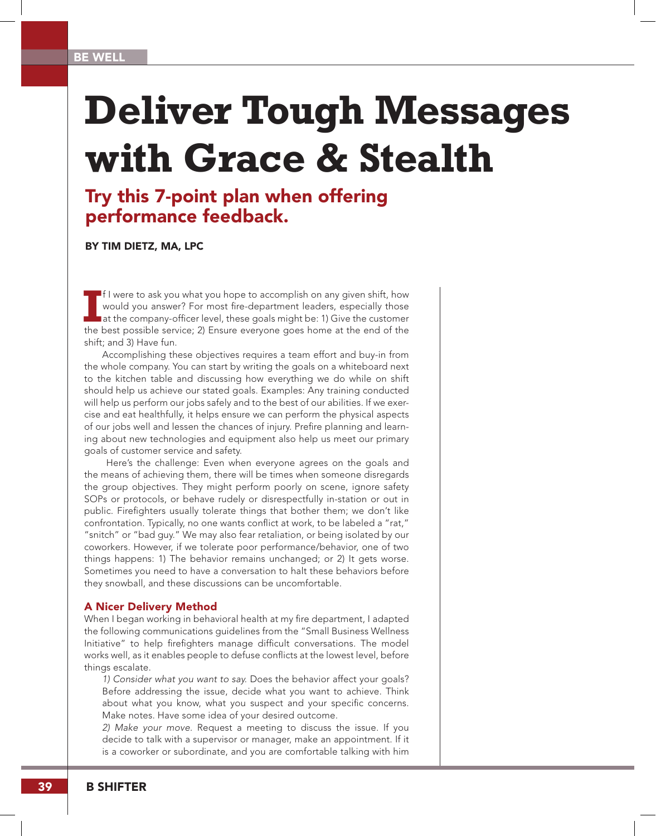# **Deliver Tough Messages with Grace & Stealth**

## Try this 7-point plan when offering performance feedback.

### BY TIM DIETZ, MA, LPC

II were to ask you what you hope to accomplish on any given shift, how would you answer? For most fire-department leaders, especially those at the company-officer level, these goals might be: 1) Give the customer the best f I were to ask you what you hope to accomplish on any given shift, how would you answer? For most fire-department leaders, especially those at the company-officer level, these goals might be: 1) Give the customer shift; and 3) Have fun.

Accomplishing these objectives requires a team effort and buy-in from the whole company. You can start by writing the goals on a whiteboard next to the kitchen table and discussing how everything we do while on shift should help us achieve our stated goals. Examples: Any training conducted will help us perform our jobs safely and to the best of our abilities. If we exercise and eat healthfully, it helps ensure we can perform the physical aspects of our jobs well and lessen the chances of injury. Prefire planning and learning about new technologies and equipment also help us meet our primary goals of customer service and safety.

 Here's the challenge: Even when everyone agrees on the goals and the means of achieving them, there will be times when someone disregards the group objectives. They might perform poorly on scene, ignore safety SOPs or protocols, or behave rudely or disrespectfully in-station or out in public. Firefighters usually tolerate things that bother them; we don't like confrontation. Typically, no one wants conflict at work, to be labeled a "rat," "snitch" or "bad guy." We may also fear retaliation, or being isolated by our coworkers. However, if we tolerate poor performance/behavior, one of two things happens: 1) The behavior remains unchanged; or 2) It gets worse. Sometimes you need to have a conversation to halt these behaviors before they snowball, and these discussions can be uncomfortable.

#### A Nicer Delivery Method

When I began working in behavioral health at my fire department, I adapted the following communications guidelines from the "Small Business Wellness Initiative" to help firefighters manage difficult conversations. The model works well, as it enables people to defuse conflicts at the lowest level, before things escalate.

*1) Consider what you want to say.* Does the behavior affect your goals? Before addressing the issue, decide what you want to achieve. Think about what you know, what you suspect and your specific concerns. Make notes. Have some idea of your desired outcome.

*2) Make your move.* Request a meeting to discuss the issue. If you decide to talk with a supervisor or manager, make an appointment. If it is a coworker or subordinate, and you are comfortable talking with him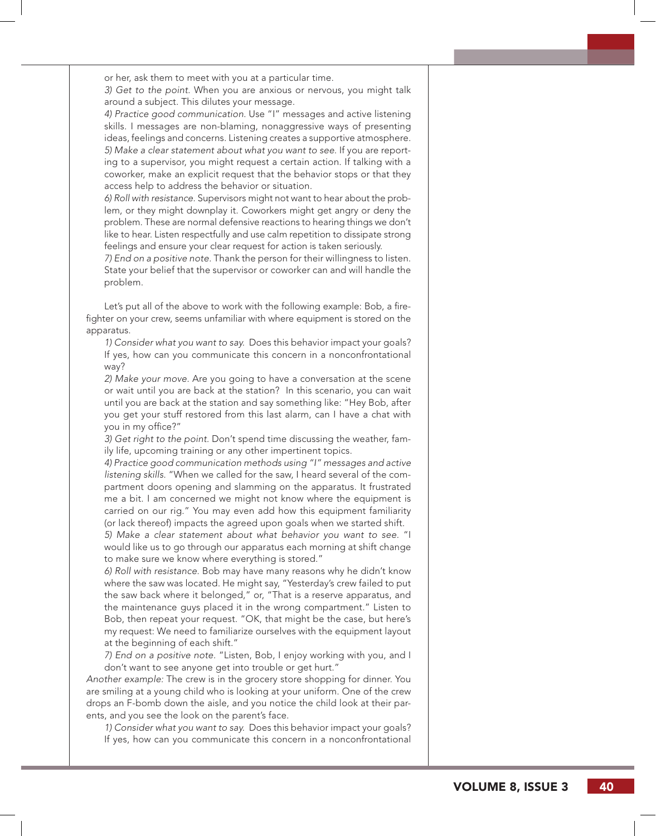or her, ask them to meet with you at a particular time.

*3) Get to the point.* When you are anxious or nervous, you might talk around a subject. This dilutes your message.

*4) Practice good communication.* Use "I" messages and active listening skills. I messages are non-blaming, nonaggressive ways of presenting ideas, feelings and concerns. Listening creates a supportive atmosphere. *5) Make a clear statement about what you want to see*. If you are report ing to a supervisor, you might request a certain action. If talking with a coworker, make an explicit request that the behavior stops or that they access help to address the behavior or situation.

*6) Roll with resistance.* Supervisors might not want to hear about the prob lem, or they might downplay it. Coworkers might get angry or deny the problem. These are normal defensive reactions to hearing things we don't like to hear. Listen respectfully and use calm repetition to dissipate strong feelings and ensure your clear request for action is taken seriously.

*7) End on a positive note.* Thank the person for their willingness to listen. State your belief that the supervisor or coworker can and will handle the problem.

Let's put all of the above to work with the following example: Bob, a fire fighter on your crew, seems unfamiliar with where equipment is stored on the apparatus.

*1) Consider what you want to say.* Does this behavior impact your goals? If yes, how can you communicate this concern in a nonconfrontational way?

*2) Make your move.* Are you going to have a conversation at the scene or wait until you are back at the station? In this scenario, you can wait until you are back at the station and say something like: "Hey Bob, after you get your stuff restored from this last alarm, can I have a chat with you in my office?"

*3) Get right to the point.* Don't spend time discussing the weather, fam ily life, upcoming training or any other impertinent topics.

*4) Practice good communication methods using "I" messages and active listening skills.* "When we called for the saw, I heard several of the com partment doors opening and slamming on the apparatus. It frustrated me a bit. I am concerned we might not know where the equipment is carried on our rig." You may even add how this equipment familiarity (or lack thereof) impacts the agreed upon goals when we started shift.

*5) Make a clear statement about what behavior you want to see.* "I would like us to go through our apparatus each morning at shift change to make sure we know where everything is stored."

*6) Roll with resistance.* Bob may have many reasons why he didn't know where the saw was located. He might say, "Yesterday's crew failed to put the saw back where it belonged," or, "That is a reserve apparatus, and the maintenance guys placed it in the wrong compartment." Listen to Bob, then repeat your request. "OK, that might be the case, but here's my request: We need to familiarize ourselves with the equipment layout at the beginning of each shift."

*7) End on a positive note.* "Listen, Bob, I enjoy working with you, and I don't want to see anyone get into trouble or get hurt."

*Another example:* The crew is in the grocery store shopping for dinner. You are smiling at a young child who is looking at your uniform. One of the crew drops an F-bomb down the aisle, and you notice the child look at their par ents, and you see the look on the parent's face.

*1) Consider what you want to say.* Does this behavior impact your goals? If yes, how can you communicate this concern in a nonconfrontational